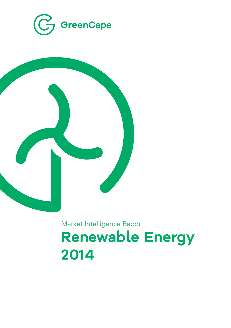



# Market Intelligence Report **Renewable Energy 2014**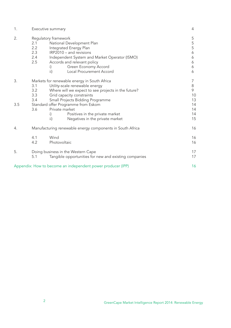| 1.  | Executive summary                                                                                                                                                                                                                                                                          | 4                                    |
|-----|--------------------------------------------------------------------------------------------------------------------------------------------------------------------------------------------------------------------------------------------------------------------------------------------|--------------------------------------|
| 2.  | Regulatory framework<br>2.1<br>National Development Plan<br>2.2<br>Integrated Energy Plan<br>2.3<br>IRP2010 - and revisions<br>2.4<br>Independent System and Market Operator (ISMO)<br>2.5<br>Accords and relevant policy<br>Green Economy Accord<br>i)<br>Local Procurement Accord<br>ii) | 5<br>5<br>5<br>6<br>6<br>6<br>6<br>6 |
| 3.  | Markets for renewable energy in South Africa<br>Utility-scale renewable energy<br>3.1<br>3.2<br>Where will we expect to see projects in the future?<br>3.3<br>Grid capacity constraints                                                                                                    | 7<br>8<br>9<br>10                    |
| 3.5 | Small Projects Bidding Programme<br>3.4<br>Standard offer Programme from Eskom<br>Private market<br>3.6<br>Positives in the private market<br>i)<br>ii)<br>Negatives in the private market                                                                                                 | 13<br>14<br>14<br>14<br>15           |
| 4.  | Manufacturing renewable energy components in South Africa                                                                                                                                                                                                                                  | 16                                   |
|     | Wind<br>4.1<br>4.2<br>Photovoltaic                                                                                                                                                                                                                                                         | 16<br>16                             |
| 5.  | Doing business in the Western Cape<br>Tangible opportunities for new and existing companies<br>5.1                                                                                                                                                                                         | 17<br>17                             |
|     | Appendix: How to become an independent power producer (IPP)                                                                                                                                                                                                                                | 16                                   |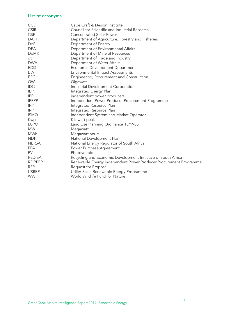# List of acronyms

| <b>CCDI</b>    | Cape Craft & Design Institute                                     |
|----------------|-------------------------------------------------------------------|
| <b>CSIR</b>    | Council for Scientific and Industrial Research                    |
| <b>CSP</b>     | <b>Concentrated Solar Power</b>                                   |
| <b>DAFF</b>    | Department of Agriculture, Forestry and Fisheries                 |
| <b>DoE</b>     | Department of Energy                                              |
| <b>DEA</b>     | Department of Environmental Affairs                               |
| <b>DoMR</b>    | Department of Mineral Resources                                   |
| dti            | Department of Trade and Industry                                  |
| <b>DWA</b>     | Department of Water Affairs                                       |
| <b>EDD</b>     | Economic Development Department                                   |
| EIA            | <b>Environmental Impact Assessments</b>                           |
| <b>EPC</b>     | Engineering, Procurement and Construction                         |
| GW             | Gigawatt                                                          |
| <b>IDC</b>     | Industrial Development Corporation                                |
| <b>IEP</b>     | Integrated Energy Plan                                            |
| <b>IPP</b>     | independent power producers                                       |
| <b>IPPPP</b>   | Independent Power Producer Procurement Programme                  |
| <b>IRP</b>     | Integrated Resource Plan                                          |
| <b>IRP</b>     | Integrated Resource Plan                                          |
| <b>ISMO</b>    | Independent System and Market Operator                            |
| Kwp            | Kilowatt peak                                                     |
| <b>LUPO</b>    | Land Use Planning Ordinance 15/1985                               |
| <b>MW</b>      | Megawatt                                                          |
| MWh            | Megawatt hours                                                    |
| <b>NDP</b>     | National Development Plan                                         |
| <b>NERSA</b>   | National Energy Regulator of South Africa                         |
| <b>PPA</b>     | Power Purchase Agreement                                          |
| <b>PV</b>      | Photovoltaic                                                      |
| <b>REDISA</b>  | Recycling and Economic Development Initiative of South Africa     |
| <b>REIPPPP</b> | Renewable Energy Independent Power Producer Procurement Programme |
| <b>RFP</b>     | Request for Proposal                                              |
| <b>USREP</b>   | Utility-Scale Renewable Energy Programme                          |
| <b>WWF</b>     | World Wildlife Fund for Nature                                    |
|                |                                                                   |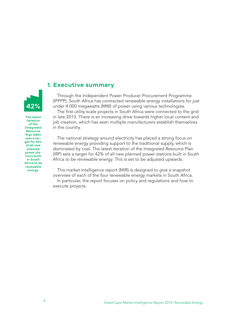# **1. Executive summary**

Through the Independent Power Producer Procurement Programme (IPPPP), South Africa has contracted renewable energy installations for just under 4 000 megawatts (MW) of power using various technologies.

The first utility-scale projects in South Africa were connected to the grid in late 2013. There is an increasing drive towards higher local content and job creation, which has seen multiple manufacturers establish themselves in the country.

The national strategy around electricity has placed a strong focus on renewable energy providing support to the traditional supply, which is dominated by coal. The latest iteration of the Integrated Resource Plan (IRP) sets a target for 42% of all new planned power stations built in South Africa to be renewable energy. This is set to be adjusted upwards.

This market intelligence report (MIR) is designed to give a snapshot overview of each of the four renewable energy markets in South Africa.

In particular, the report focuses on policy and regulations and how to execute projects.

**The latest iteration of the Integrated Resource Plan (IRP) sets a target for 42% of all new planned power stations built in South Africa to be renewable energy.** 

**42%**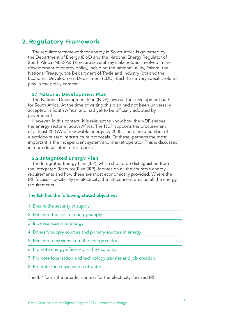# **2. Regulatory Framework**

The regulatory framework for energy in South Africa is governed by the Department of Energy (DoE) and the National Energy Regulator of South Africa (NERSA). There are several key stakeholders involved in the development of energy policy, including the national utility, Eskom, the National Treasury, the Department of Trade and Industry (dti) and the Economic Development Department (EDD). Each has a very specific role to play in the policy context.

# **2.1 National Development Plan**

The National Development Plan (NDP) lays out the development path for South Africa. At the time of writing this plan had not been universally accepted in South Africa, and had yet to be officially adopted by government.

However, in this context, it is relevant to know how the NDP shapes the energy sector in South Africa. The NDP supports the procurement of at least 20 GW of renewable energy by 2030. There are a number of electricity-related infrastructure proposals. Of these, perhaps the most important is the independent system and market operator. This is discussed in more detail later in this report.

# **2.2 Integrated Energy Plan**

The Integrated Energy Plan (IEP), which should be distinguished from the Integrated Resource Plan (IRP), focuses on all the country's energy requirements and how these are most economically provided. Where the IRP focuses specifically on electricity, the IEP concentrates on all the energy requirements.

### The IEP has the following stated objectives:

- 1: Ensure the security of supply
- 2: Minimise the cost of energy supply
- 3: Increase access to energy
- 4: Diversify supply sources and primary sources of energy
- 5: Minimise emissions from the energy sector
- 6: Promote energy efficiency in the economy
- 7: Promote localisation and technology transfer and job creation
- 8: Promote the conservation of water.

The IEP forms the broader context for the electricity-focused IRP.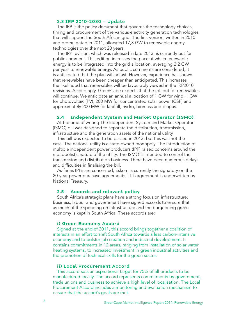# **2.3 IRP 2010-2030 – Update**

The IRP is the policy document that governs the technology choices, timing and procurement of the various electricity generation technologies that will support the South African grid. The first version, written in 2010 and promulgated in 2011, allocated 17,8 GW to renewable energy technologies over the next 20 years.

The IRP revision, which was released in late 2013, is currently out for public comment. This edition increases the pace at which renewable energy is to be integrated into the grid allocation, averaging 2,2 GW per year to renewable energy. As public comments are considered, it is anticipated that the plan will adjust. However, experience has shown that renewables have been cheaper than anticipated. This increases the likelihood that renewables will be favourably viewed in the IRP2010 revisions. Accordingly, GreenCape expects that the roll out for renewables will continue. We anticipate an annual allocation of 1 GW for wind, 1 GW for photovoltaic (PV), 200 MW for concentrated solar power (CSP) and approximately 200 MW for landfill, hydro, biomass and biogas.

# **2.4 Independent System and Market Operator (ISMO)**

At the time of writing The Independent System and Market Operator (ISMO) bill was designed to separate the distribution, transmission, infrastructure and the generation assets of the national utility.

This bill was expected to be passed in 2013, but this was not the case. The national utility is a state-owned monopoly. The introduction of multiple independent power producers (IPP) raised concerns around the monopolistic nature of the utility. The ISMO is intended to control the transmission and distribution business. There have been numerous delays and difficulties in finalising the bill.

As far as IPPs are concerned, Eskom is currently the signatory on the 20-year power purchase agreements. This agreement is underwritten by National Treasury.

# **2.5 Accords and relevant policy**

South Africa's strategic plans have a strong focus on infrastructure. Business, labour and government have signed accords to ensure that as much of the spending on infrastructure and the burgeoning green economy is kept in South Africa. These accords are:

# **i) Green Economy Accord**

Signed at the end of 2011, this accord brings together a coalition of interests in an effort to shift South Africa towards a less carbon-intensive economy and to bolster job creation and industrial development. It contains commitments in 12 areas, ranging from installation of solar water heating systems, to increased investment in green industrial activities and the promotion of technical skills for the green sector.

# **ii) Local Procurement Accord**

This accord sets an aspirational target for 75% of all products to be manufactured locally. The accord represents commitments by government, trade unions and business to achieve a high level of localisation. The Local Procurement Accord includes a monitoring and evaluation mechanism to ensure that the accord's goals are met.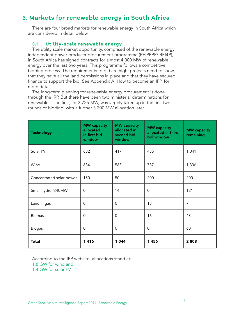# **3. Markets for renewable energy in South Africa**

There are four broad markets for renewable energy in South Africa which are considered in detail below.

# **3.1 Utility-scale renewable energy**

The utility scale market opportunity, comprised of the renewable energy independent power producer procurement programme (REIPPPP/ REI4P), in South Africa has signed contracts for almost 4 000 MW of renewable energy over the last two years. This programme follows a competitive bidding process. The requirements to bid are high: projects need to show that they have all the land permissions in place and that they have secured finance to support the bid. See Appendix A: How to become an IPP, for more detail.

The long-term planning for renewable energy procurement is done through the IRP. But there have been two ministerial determinations for renewables. The first, for 3 725 MW, was largely taken up in the first two rounds of bidding, with a further 3 200 MW allocation later.

| <b>Technology</b>        | <b>MW</b> capacity<br>allocated<br>in first bid<br>window | <b>MW</b> capacity<br>allocated in<br>second bid<br>window | <b>MW</b> capacity<br>allocated in third<br>bid window | <b>MW</b> capacity<br>remaining |
|--------------------------|-----------------------------------------------------------|------------------------------------------------------------|--------------------------------------------------------|---------------------------------|
| Solar PV                 | 632                                                       | 417                                                        | 435                                                    | 1 0 4 1                         |
| Wind                     | 634                                                       | 563                                                        | 787                                                    | 1 3 3 6                         |
| Concentrated solar power | 150                                                       | 50                                                         | 200                                                    | 200                             |
| Small hydro (≤40MW)      | $\mathbf 0$                                               | 14                                                         | 0                                                      | 121                             |
| Landfill gas             | $\Omega$                                                  | $\Omega$                                                   | 18                                                     | 7                               |
| <b>Biomass</b>           | $\Omega$                                                  | 0                                                          | 16                                                     | 43                              |
| <b>Biogas</b>            | $\mathbf 0$                                               | 0                                                          | $\Omega$                                               | 60                              |
| <b>Total</b>             | 1416                                                      | 1 0 4 4                                                    | 1456                                                   | 2808                            |

According to the IPP website, allocations stand at:

1.8 GW for wind and

1.4 GW for solar PV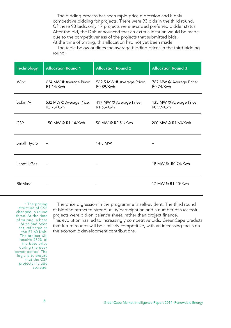The bidding process has seen rapid price digression and highly competitive bidding for projects. There were 93 bids in the third round. Of these 93 bids, only 17 projects were awarded preferred bidder status. After the bid, the DoE announced that an extra allocation would be made due to the competitiveness of the projects that submitted bids. At the time of writing, this allocation had not yet been made.

The table below outlines the average bidding prices in the third bidding round.

| <b>Technology</b> | <b>Allocation Round 1</b>            | <b>Allocation Round 2</b>              | <b>Allocation Round 3</b>            |
|-------------------|--------------------------------------|----------------------------------------|--------------------------------------|
| Wind              | 634 MW @ Average Price:<br>R1.14/Kwh | 562,5 MW @ Average Price:<br>R0.89/Kwh | 787 MW @ Average Price:<br>R0.74/Kwh |
| Solar PV          | 632 MW @ Average Price:<br>R2.75/Kwh | 417 MW @ Average Price:<br>R1.65/Kwh   | 435 MW @ Average Price:<br>R0.99/Kwh |
| <b>CSP</b>        | 150 MW @ R1.14/Kwh                   | 50 MW @ R2.51/Kwh                      | 200 MW @ R1.60/Kwh                   |
| Small Hydro       |                                      | 14,3 MW                                |                                      |
| Landfill Gas      |                                      |                                        | 18 MW @ R0.74/Kwh                    |
| <b>BioMass</b>    |                                      |                                        | 17 MW @ R1.40/Kwh                    |

\* The pricing structure of CSP changed in round three. At the time of writing, a base price had been set, reflected as the R1,60 Kwh. The project will receive 270% of the base price during the peak power period. The logic is to ensure that the CSP projects include storage.

The price digression in the programme is self-evident. The third round of bidding attracted strong utility participation and a number of successful projects were bid on balance sheet, rather than project finance. This evolution has led to increasingly competitive bids. GreenCape predicts that future rounds will be similarly competitive, with an increasing focus on the economic development contributions.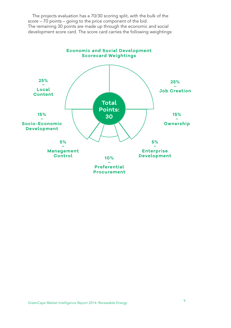The projects evaluation has a 70/30 scoring split, with the bulk of the score – 70 points – going to the price component of the bid. The remaining 30 points are made up through the economic and social development score card. The score card carries the following weightings:

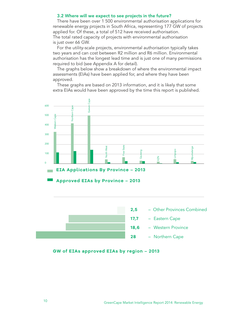# 3.2 Where will we expect to see projects in the future?

There have been over 1 500 environmental authorisation applications for renewable energy projects in South Africa, representing 177 GW of projects applied for. Of these, a total of 512 have received authorisation. The total rated capacity of projects with environmental authorisation is just over 66 GW.

For the utility-scale projects, environmental authorisation typically takes two years and can cost between R2 million and R6 million. Environmental authorisation has the longest lead time and is just one of many permissions required to bid (see Appendix A for detail).

The graphs below show a breakdown of where the environmental impact assessments (EIAs) have been applied for, and where they have been approved.

These graphs are based on 2013 information, and it is likely that some extra EIAs would have been approved by the time this report is published.





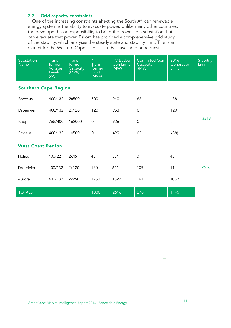# 3.3 Grid capacity constraints

One of the increasing constraints affecting the South African renewable energy system is the ability to evacuate power. Unlike many other countries, the developer has a responsibility to bring the power to a substation that can evacuate that power. Eskom has provided a comprehensive grid study of the stability, which analyses the steady state and stability limit. This is an extract for the Western Cape. The full study is available on request.

| Substation-<br><b>Name</b>  | Trans-<br>former<br>Voltage<br>Levels<br>(kV) | Trans-<br>former<br>Capacity<br>(MVA) | $N-1$<br>Trans-<br>former<br>Limit<br>(MVA) | <b>HV Busbar</b><br><b>Gen Limit</b><br>(MW) | <b>Commited Gen</b><br>Capacity<br>(MW) | 2016<br>Generation<br>Limit | Stabitity<br>Limit |
|-----------------------------|-----------------------------------------------|---------------------------------------|---------------------------------------------|----------------------------------------------|-----------------------------------------|-----------------------------|--------------------|
| <b>Southern Cape Region</b> |                                               |                                       |                                             |                                              |                                         |                             |                    |
| <b>Bacchus</b>              | 400/132                                       | 2x500                                 | 500                                         | 940                                          | 62                                      | 438                         |                    |
| Droerivier                  | 400/132                                       | 2x120                                 | 120                                         | 953                                          | $\mathbf 0$                             | 120                         |                    |
| Kappa                       | 765/400                                       | 1×2000                                | $\mathbf 0$                                 | 926                                          | $\Omega$                                | $\mathbf 0$                 | 3318               |
| Proteus                     | 400/132                                       | 1x500                                 | $\mathbf 0$                                 | 499                                          | 62                                      | 438)                        |                    |
| <b>West Coast Region</b>    |                                               |                                       |                                             |                                              |                                         |                             |                    |
| Helios                      | 400/22                                        | 2x45                                  | 45                                          | 554                                          | $\Omega$                                | 45                          |                    |
| Droerivier                  | 400/132                                       | 2x120                                 | 120                                         | 641                                          | 109                                     | 11                          | 2616               |
| Aurora                      | 400/132                                       | 2x250                                 | 1250                                        | 1622                                         | 161                                     | 1089                        |                    |
| <b>TOTALS</b>               |                                               |                                       | 1380                                        | 2616                                         | 270                                     | 1145                        |                    |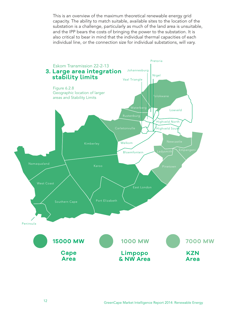This is an overview of the maximum theoretical renewable energy grid capacity. The ability to match suitable, available sites to the location of the substation is a challenge, particularly as much of the land area is unsuitable, and the IPP bears the costs of bringing the power to the substation. It is also critical to bear in mind that the individual thermal capacities of each individual line, or the connection size for individual substations, will vary.

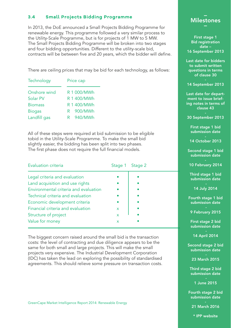# **3.4 Small Projects Bidding Programme**

In 2013, the DoE announced a Small Projects Bidding Programme for renewable energy. This programme followed a very similar process to the Utility-Scale Programme, but is for projects of 1 MW to 5 MW. The Small Projects Bidding Programme will be broken into two stages and four bidding opportunities. Different to the utility-scale bid, contracts will be between five and 20 years, which the bidder will define.

There are ceiling prices that may be bid for each technology, as follows:

| Price cap   |  |  |
|-------------|--|--|
| R 1 000/MWh |  |  |
| R 1 400/MWh |  |  |
| R 1 400/MWh |  |  |
| R 900/MWh   |  |  |
| R 940/MWh   |  |  |
|             |  |  |

All of these steps were required at bid submission to be eligible tobid in the Utility-Scale Programme. To make the small bid slightly easier, the bidding has been split into two phases. The first phase does not require the full financial models.

| Evaluation criteria                   |              | Stage 1 Stage 2 |
|---------------------------------------|--------------|-----------------|
| Legal criteria and evaluation         |              |                 |
| Land acquisition and use rights       |              |                 |
| Environmental criteria and evaluation |              |                 |
| Technical criteria and evaluation     |              |                 |
| Economic development criteria         |              |                 |
| Financial criteria and evaluation     | $\mathsf{x}$ |                 |
| Structure of project                  | X            |                 |
| Value for money                       | x            |                 |

The biggest concern raised around the small bid is the transaction costs: the level of contracting and due diligence appears to be the same for both small and large projects. This will make the small projects very expensive. The Industrial Development Corporation (IDC) has taken the lead on exploring the possibility of standardised agreements. This should relieve some pressure on transaction costs.



First stage 1 Bid registration date – 16 September 2013

Last date for bidders to submit written questions in terms of clause 30

14 September 2013

Last date for department to issue briefing notes in terms of clause 43

30 September 2013

First stage 1 bid submission date

14 October 2013

Second stage 1 bid submission date

10 February 2014

Third stage 1 bid submission date

14 July 2014

Fourth stage 1 bid submission date

9 February 2015

First stage 2 bid submission date

14 April 2014

Second stage 2 bid submission date

23 March 2015

Third stage 2 bid submission date

1 June 2015

Fourth stage 2 bid submission date

21 March 2016

\* IPP website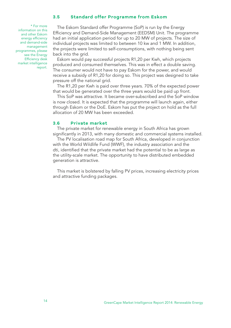# **3.5 Standard offer Programme from Eskom**

\* For more information on this and other Eskom energy efficiency and demand-side management programmes, please see the Energy Efficiency desk market intelligence report.

The Eskom Standard offer Programme (SoP) is run by the Energy Efficiency and Demand-Side Management (EEDSM) Unit. The programme had an initial application period for up to 20 MW of projects. The size of individual projects was limited to between 10 kw and 1 MW. In addition, the projects were limited to self-consumptions, with nothing being sent back into the grid.

Eskom would pay successful projects R1,20 per Kwh, which projects produced and consumed themselves. This was in effect a double saving. The consumer would not have to pay Eskom for the power, and would receive a subsidy of R1,20 for doing so. This project was designed to take pressure off the national grid.

The R1,20 per Kwh is paid over three years. 70% of the expected power that would be generated over the three years would be paid up front.

This SoP was attractive. It became over-subscribed and the SoP window is now closed. It is expected that the programme will launch again, either through Eskom or the DoE. Eskom has put the project on hold as the full allocation of 20 MW has been exceeded.

# **3.6 Private market**

The private market for renewable energy in South Africa has grown significantly in 2013, with many domestic and commercial systems installed.

The PV localisation road map for South Africa, developed in conjunction with the World Wildlife Fund (WWF), the industry association and the dti, identified that the private market had the potential to be as large as the utility-scale market. The opportunity to have distributed embedded generation is attractive.

This market is bolstered by falling PV prices, increasing electricity prices and attractive funding packages.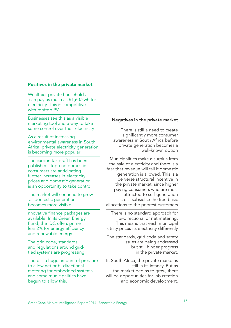### Positives in the private market

Wealthier private households can pay as much as R1,60/kwh for electricity. This is competitive with rooftop PV

Businesses see this as a visible marketing tool and a way to take some control over their electricity

As a result of increasing environmental awareness in South Africa, private electricity generation is becoming more popular

The carbon tax draft has been published. Top-end domestic consumers are anticipating further increases in electricity prices and domestic generation is an opportunity to take control

The market will continue to grow as domestic generation becomes more visible

nnovative finance packages are available. In its Green Energy Fund, the IDC offers prime less 2% for energy efficiency and renewable energy

The grid code, standards and regulations around gridtied systems are progressing

There is a huge amount of pressure to allow net or bi-directional metering for embedded systems and some municipalities have begun to allow this.

# Negatives in the private market

There is still a need to create significantly more consumer awareness in South Africa before private generation becomes a well-known option

Municipalities make a surplus from the sale of electricity and there is a fear that revenue will fall if domestic generation is allowed. This is a perverse structural incentive in the private market, since higher paying consumers who are most attracted to self-generation cross-subsidise the free basic allocations to the poorest customers

There is no standard approach for bi-directional or net metering. This means that each municipal utility prices its electricity differently

The standards, grid code and safety issues are being addressed but still hinder progress in the private market.

In South Africa, the private market is still in its infancy. But as the market begins to grow, there will be opportunities for job creation and economic development.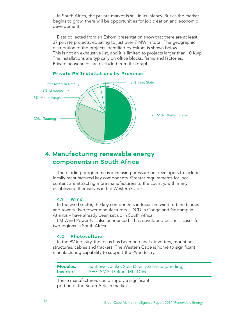In South Africa, the private market is still in its infancy. But as the market begins to grow, there will be opportunities for job creation and economic development.

Data collected from an Eskom presentation show that there are at least 37 private projects, equating to just over 7 MW in total. The geographic distribution of the projects identified by Eskom is shown below. This is not an exhaustive list, and it is limited to projects larger than 10 Kwp. The installations are typically on office blocks, farms and factories. Private households are excluded from this graph.



# **Private PV Installations by Province**

# **4. Manufacturing renewable energy components in South Africa**

The bidding programme is increasing pressure on developers to include locally manufactured key components. Greater requirements for local content are attracting more manufacturers to the country, with many establishing themselves in the Western Cape.

# **4.1 Wind**

In the wind sector, the key components in focus are wind turbine blades and towers. Two tower manufacturers – DCD in Coega and Gestamp in Atlantis – have already been set up in South Africa.

LM Wind Power has also announced it has developed business cases for two regions in South Africa.

# **4.2 Photovoltaic**

In the PV industry, the focus has been on panels, inverters, mounting structures, cables and trackers. The Western Cape is home to significant manufacturing capability to support the PV industry.

Modules: SunPower, Jinko, SolarDirect, ZnShine (pending). Inverters: AEG, SMA, Gefran, MLT-Drives.

These manufacturers could supply a significant portion of the South African market.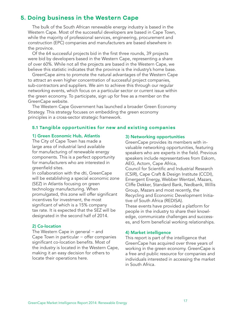# **5. Doing business in the Western Cape**

The bulk of the South African renewable energy industry is based in the Western Cape. Most of the successful developers are based in Cape Town, while the majority of professional services, engineering, procurement and construction (EPC) companies and manufacturers are based elsewhere in the province.

Of the 64 successful projects bid in the first three rounds, 39 projects were bid by developers based in the Western Cape, representing a share of over 60%. While not all the projects are based in the Western Cape, we believe this statistic indicates that the province is the industry's home base.

GreenCape aims to promote the natural advantages of the Western Cape to attract an even higher concentration of successful project companies, sub-contractors and suppliers. We aim to achieve this through our regular networking events, which focus on a particular sector or current issue within the green economy. To participate, sign up for free as a member on the GreenCape website.

The Western Cape Government has launched a broader Green Economy Strategy. This strategy focuses on embedding the green economy principles in a cross-sector strategic framework.

# **5.1 Tangible opportunities for new and existing companies**

# 1) Green Economic Hub, Atlantis

The City of Cape Town has made a large area of industrial land available for manufacturing of renewable energy components. This is a perfect opportunity for manufacturers who are interested in greenfield sites.

In collaboration with the dti, GreenCape will be establishing a special economic zone (SEZ) in Atlantis focusing on green technology manufacturing. When promulgated, this zone will offer significant incentives for investment, the most significant of which is a 15% company tax rate. It is expected that the SEZ will be designated in the second half of 2014.

### 2) Co-location

The Western Cape in general – and Cape Town in particular − offer companies significant co-location benefits. Most of the industry is located in the Western Cape, making it an easy decision for others to locate their operations here.

#### 3) Networking opportunities

GreenCape provides its members with invaluable networking opportunities, featuring speakers who are experts in the field. Previous speakers include representatives from Eskom, AEG, Actom, Cape Africa,

Council for Scientific and Industrial Research (CSIR), Cape Craft & Design Institute (CCDI), Emergent Energy, Webber Wentzel, Mazars, Cliffe Dekker, Standard Bank, Nedbank, Willis Group, Mazars and most recently, the Recycling and Economic Development Initiative of South Africa (REDISA).

These events have provided a platform for people in the industry to share their knowledge, communicate challenges and successes, and form beneficial working relationships.

### 4) Market intelligence

This report is part of the intelligence that GreenCape has acquired over three years of working in the green economy. GreenCape is a free and public resource for companies and individuals interested in accessing the market in South Africa.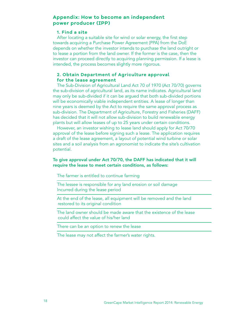# **Appendix: How to become an independent power producer (IPP)**

# **1. Find a site**

After locating a suitable site for wind or solar energy, the first step towards acquiring a Purchase Power Agreement (PPA) from the DoE depends on whether the investor intends to purchase the land outright or to lease a portion from the land owner. If the former is the case, then the investor can proceed directly to acquiring planning permission. If a lease is intended, the process becomes slightly more rigorous.

# **2. Obtain Department of Agriculture approval for the lease agreement**

The Sub-Division of Agricultural Land Act 70 of 1970 (Act 70/70) governs the sub-division of agricultural land, as its name indicates. Agricultural land may only be sub-divided if it can be argued that both sub-divided portions will be economically viable independent entities. A lease of longer than nine years is deemed by the Act to require the same approval process as sub-division. The Department of Agriculture, Forestry and Fisheries (DAFF) has decided that it will not allow sub-division to build renewable energy plants but will allow leases of up to 25 years under certain conditions.

However, an investor wishing to lease land should apply for Act 70/70 approval of the lease before signing such a lease. The application requires a draft of the lease agreement, a layout of potential wind turbine or solar sites and a soil analysis from an agronomist to indicate the site's cultivation potential.

# To give approval under Act 70/70, the DAFF has indicated that it will require the lease to meet certain conditions, as follows:

The farmer is entitled to continue farming

The lessee is responsible for any land erosion or soil damage Incurred during the lease period

At the end of the lease, all equipment will be removed and the land restored to its original condition

The land owner should be made aware that the existence of the lease could affect the value of his/her land

There can be an option to renew the lease

The lease may not affect the farmer's water rights.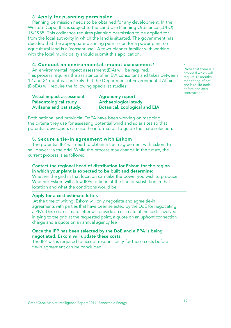# **3. Apply for planning permission**

Planning permission needs to be obtained for any development. In the Western Cape, this is subject to the Land Use Planning Ordinance (LUPO) 15/1985. This ordinance requires planning permission to be applied for from the local authority in which the land is situated. The government has decided that the appropriate planning permission for a power plant on agricultural land is a 'consent use'. A town planner familiar with working with the local municipality should submit this application.

# **4. Conduct an environmental impact assessment\***

An environmental impact assessment (EIA) will be required. This process requires the assistance of an EIA consultant and takes between 12 and 24 months. It is likely that the Department of Environmental Affairs (DoEA) will require the following specialist studies:

| Visual impact assessment     | Agronomy report.                     |
|------------------------------|--------------------------------------|
| <b>Paleontological study</b> | <b>Archaeological study</b>          |
| Avifauna and bat study.      | <b>Botanical, zoological and EIA</b> |

Both national and provincial DoEA have been working on mapping the criteria they use for assessing potential wind and solar sites so that potential developers can use the information to guide their site selection.

# **5. Secure a tie-in agreement with Eskom**

The potential IPP will need to obtain a tie-in agreement with Eskom to sell power via the grid. While the process may change in the future, the current process is as follows:

# Contact the regional head of distribution for Eskom for the region in which your plant is expected to be built and determine:

Whether the grid in that location can take the power you wish to produce Whether Eskom will allow IPPs to tie in at the line or substation in that location and what the conditions would be

# Apply for a cost estimate letter.

 At the time of writing, Eskom will only negotiate and agree tie-in agreements with parties that have been selected by the DoE for negotiating a PPA. This cost estimate letter will provide an estimate of the costs involved in tying to the grid at the requested point, a quote on an upfront connection charge and a quote on an annual agency fee

# Once the IPP has been selected by the DoE and a PPA is being negotiated, Eskom will update these costs.

The IPP will is required to accept responsibility for these costs before a tie-in agreement can be concluded.

#### Note that there is a proposal which will require 12 months' monitoring of bat and bird life both before and after construction

\*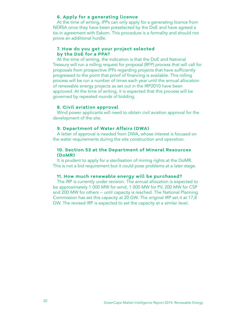# **6. Apply for a generating licence**

At the time of writing, IPPs can only apply for a generating licence from NERSA once they have been preselected by the DoE and have agreed a tie-in agreement with Eskom. This procedure is a formality and should not prove an additional hurdle.

# **7. How do you get your project selected by the DoE for a PPA?**

At the time of writing, the indication is that the DoE and National Treasury will run a rolling request for proposal (RFP) process that will call for proposals from prospective IPPs regarding projects that have sufficiently progressed to the point that proof of financing is available. This rolling process will be run a number of times each year until the annual allocation of renewable energy projects as set out in the IRP2010 have been approved. At the time of writing, it is expected that this process will be governed by repeated rounds of bidding.

# **8. Civil aviation approval**

Wind power applicants will need to obtain civil aviation approval for the development of the site.

# **9. Department of Water Affairs (DWA)**

A letter of approval is needed from DWA, whose interest is focused on the water requirements during the site construction and operation.

# **10. Section 53 at the Department of Mineral Resources (DoMR)**

It is prudent to apply for a sterilisation of mining rights at the DoMR. This is not a bid requirement but it could pose problems at a later stage.

# **11. How much renewable energy will be purchased?**

The IRP is currently under revision. The annual allocation is expected to be approximately 1 000 MW for wind, 1 000 MW for PV, 200 MW for CSP and 200 MW for others − until capacity is reached. The National Planning Commission has set this capacity at 20 GW. The original IRP set it at 17,8 GW. The revised IRP is expected to set the capacity at a similar level.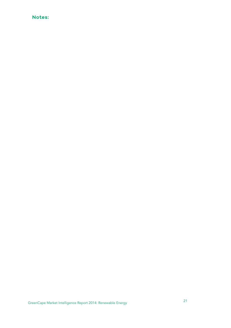# **Notes:**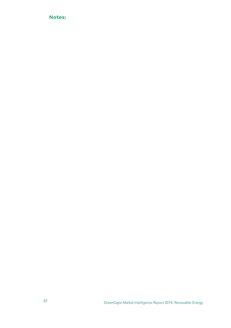# **Notes:**